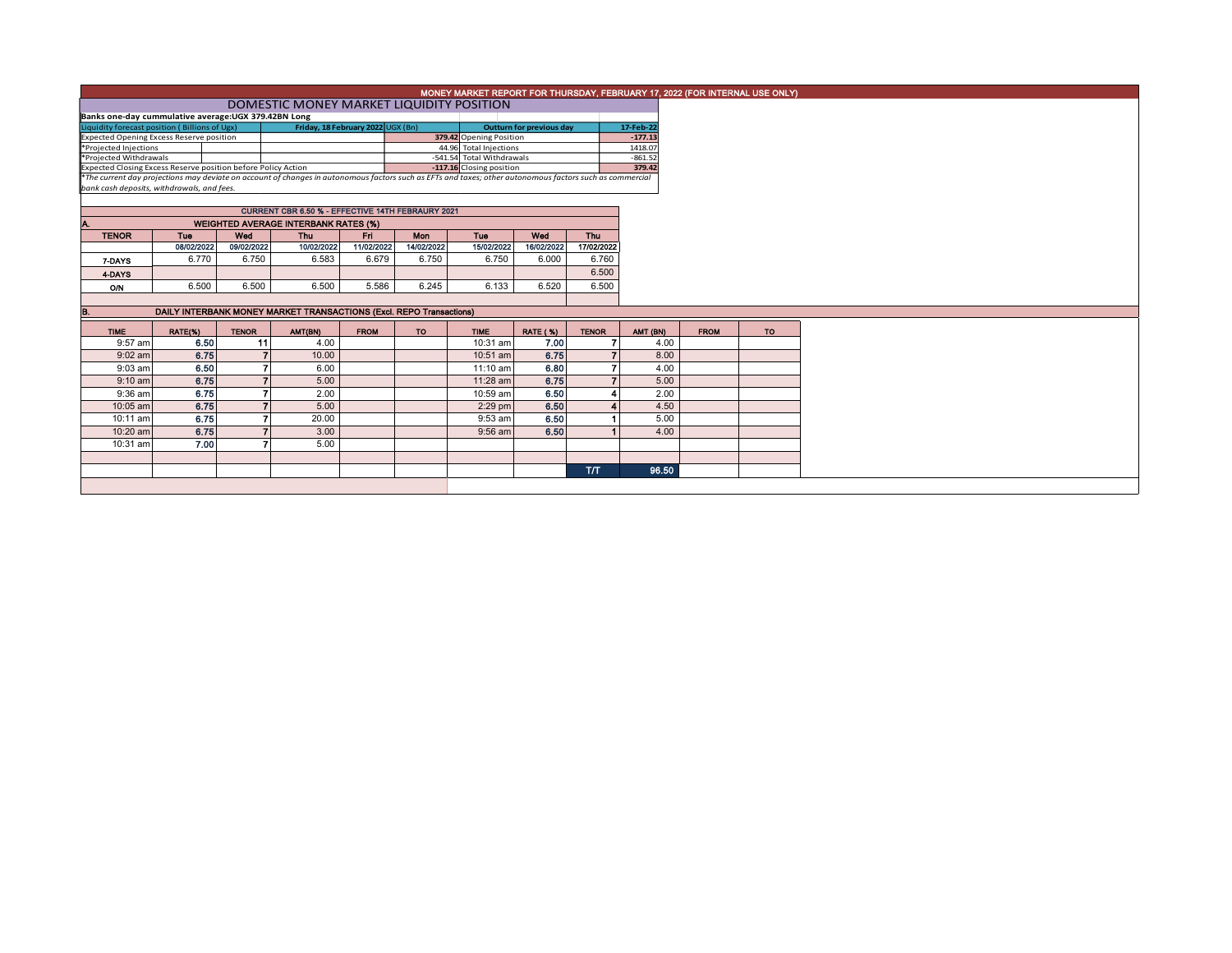| MONEY MARKET REPORT FOR THURSDAY, FEBRUARY 17, 2022 (FOR INTERNAL USE ONLY)                                                                                                                                               |            |              |                |                                                                     |             |            |                           |                                 |                          |           |             |           |
|---------------------------------------------------------------------------------------------------------------------------------------------------------------------------------------------------------------------------|------------|--------------|----------------|---------------------------------------------------------------------|-------------|------------|---------------------------|---------------------------------|--------------------------|-----------|-------------|-----------|
| DOMESTIC MONEY MARKET LIQUIDITY POSITION                                                                                                                                                                                  |            |              |                |                                                                     |             |            |                           |                                 |                          |           |             |           |
| Banks one-day cummulative average: UGX 379.42BN Long                                                                                                                                                                      |            |              |                |                                                                     |             |            |                           |                                 |                          |           |             |           |
| Liquidity forecast position (Billions of Ugx)                                                                                                                                                                             |            |              |                | Friday, 18 February 2022 UGX (Bn)                                   |             |            |                           | <b>Outturn for previous day</b> |                          | 17-Feb-22 |             |           |
| <b>Expected Opening Excess Reserve position</b>                                                                                                                                                                           |            |              |                |                                                                     |             |            | 379.42 Opening Position   |                                 |                          | $-177.13$ |             |           |
| *Projected Injections                                                                                                                                                                                                     |            |              |                |                                                                     |             |            | 44.96 Total Injections    |                                 |                          | 1418.07   |             |           |
| *Projected Withdrawals                                                                                                                                                                                                    |            |              |                |                                                                     |             |            | -541.54 Total Withdrawals |                                 |                          | $-861.52$ |             |           |
| Expected Closing Excess Reserve position before Policy Action<br>*The current day projections may deviate on account of changes in autonomous factors such as EFTs and taxes; other autonomous factors such as commercial |            |              |                |                                                                     |             |            |                           |                                 |                          | 379.42    |             |           |
| bank cash deposits, withdrawals, and fees.                                                                                                                                                                                |            |              |                |                                                                     |             |            |                           |                                 |                          |           |             |           |
|                                                                                                                                                                                                                           |            |              |                |                                                                     |             |            |                           |                                 |                          |           |             |           |
|                                                                                                                                                                                                                           |            |              |                | CURRENT CBR 6.50 % - EFFECTIVE 14TH FEBRAURY 2021                   |             |            |                           |                                 |                          |           |             |           |
| Α.                                                                                                                                                                                                                        |            |              |                | <b>WEIGHTED AVERAGE INTERBANK RATES (%)</b>                         |             |            |                           |                                 |                          |           |             |           |
| <b>TENOR</b>                                                                                                                                                                                                              | Tue        | Wed          |                | Thu                                                                 | Fri         | Mon        | Tue                       | Wed                             | Thu                      |           |             |           |
|                                                                                                                                                                                                                           | 08/02/2022 | 09/02/2022   |                | 10/02/2022                                                          | 11/02/2022  | 14/02/2022 | 15/02/2022                | 16/02/2022                      | 17/02/2022               |           |             |           |
| 7-DAYS                                                                                                                                                                                                                    | 6.770      | 6.750        |                | 6.583                                                               | 6.679       | 6.750      | 6.750                     | 6.000                           | 6.760                    |           |             |           |
| 4-DAYS                                                                                                                                                                                                                    |            |              |                |                                                                     |             |            |                           |                                 | 6.500                    |           |             |           |
| <b>O/N</b>                                                                                                                                                                                                                | 6.500      | 6.500        |                | 6.500                                                               | 5.586       | 6.245      | 6.133                     | 6.520                           | 6.500                    |           |             |           |
|                                                                                                                                                                                                                           |            |              |                |                                                                     |             |            |                           |                                 |                          |           |             |           |
| B.                                                                                                                                                                                                                        |            |              |                | DAILY INTERBANK MONEY MARKET TRANSACTIONS (Excl. REPO Transactions) |             |            |                           |                                 |                          |           |             |           |
|                                                                                                                                                                                                                           |            |              |                |                                                                     |             |            |                           |                                 |                          |           |             |           |
| <b>TIME</b>                                                                                                                                                                                                               | RATE(%)    | <b>TENOR</b> |                | AMT(BN)                                                             | <b>FROM</b> | <b>TO</b>  | <b>TIME</b>               | <b>RATE (%)</b>                 | <b>TENOR</b>             | AMT (BN)  | <b>FROM</b> | <b>TO</b> |
| 9:57 am                                                                                                                                                                                                                   | 6.50       |              | 11             | 4.00                                                                |             |            | 10:31 am                  | 7.00                            |                          | 4.00      |             |           |
| $9:02$ am                                                                                                                                                                                                                 | 6.75       |              | $\overline{7}$ | 10.00                                                               |             |            | 10:51 am                  | 6.75                            | $\overline{\phantom{a}}$ | 8.00      |             |           |
| $9:03$ am                                                                                                                                                                                                                 | 6.50       |              |                | 6.00                                                                |             |            | $11:10$ am                | 6.80                            |                          | 4.00      |             |           |
| $9:10 \text{ am}$                                                                                                                                                                                                         | 6.75       |              |                | 5.00                                                                |             |            | 11:28 am                  | 6.75                            |                          | 5.00      |             |           |
| $9:36$ am                                                                                                                                                                                                                 | 6.75       |              |                | 2.00                                                                |             |            | 10:59 am                  | 6.50                            |                          | 2.00      |             |           |
| 10:05 am                                                                                                                                                                                                                  | 6.75       |              |                | 5.00                                                                |             |            | $2:29$ pm                 | 6.50                            |                          | 4.50      |             |           |
| 10:11 am                                                                                                                                                                                                                  | 6.75       |              |                | 20.00                                                               |             |            | $9:53$ am                 | 6.50                            |                          | 5.00      |             |           |
| 10:20 am                                                                                                                                                                                                                  | 6.75       |              |                | 3.00                                                                |             |            | 9:56 am                   | 6.50                            |                          | 4.00      |             |           |
| 10:31 am                                                                                                                                                                                                                  | 7.00       |              |                | 5.00                                                                |             |            |                           |                                 |                          |           |             |           |
|                                                                                                                                                                                                                           |            |              |                |                                                                     |             |            |                           |                                 |                          |           |             |           |
|                                                                                                                                                                                                                           |            |              |                |                                                                     |             |            |                           |                                 | <b>ТЛТ</b>               | 96.50     |             |           |
|                                                                                                                                                                                                                           |            |              |                |                                                                     |             |            |                           |                                 |                          |           |             |           |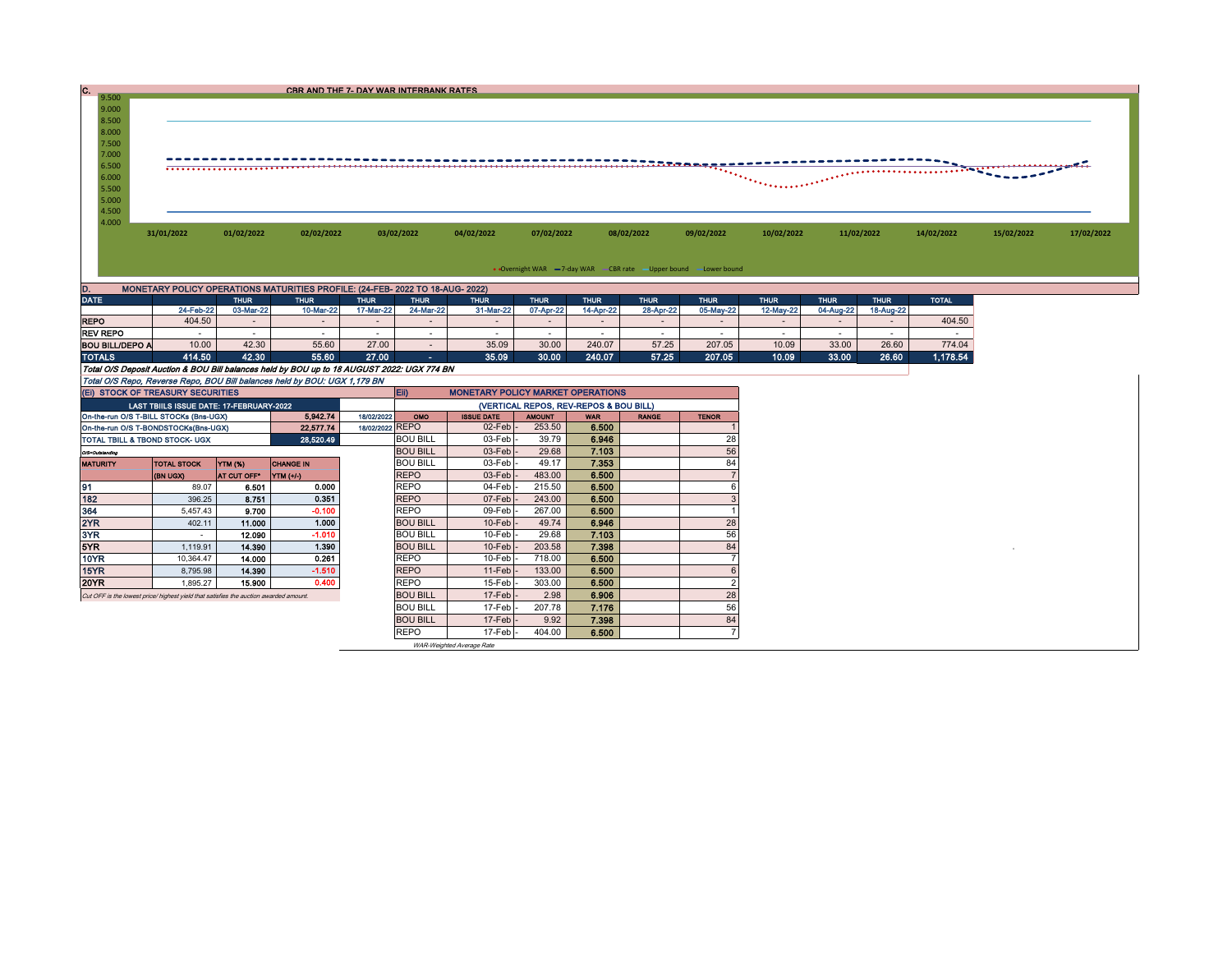|                |            |            |            | CBR AND THE 7- DAY WAR INTERBANK RATES |            |            |            |                   |                |            |            |                                 |            |
|----------------|------------|------------|------------|----------------------------------------|------------|------------|------------|-------------------|----------------|------------|------------|---------------------------------|------------|
| 9.500<br>9.000 |            |            |            |                                        |            |            |            |                   |                |            |            |                                 |            |
| 8.500          |            |            |            |                                        |            |            |            |                   |                |            |            |                                 |            |
| 8.000          |            |            |            |                                        |            |            |            |                   |                |            |            |                                 |            |
| 7.500          |            |            |            |                                        |            |            |            |                   |                |            |            |                                 |            |
| 7.000          |            |            |            |                                        |            |            |            |                   |                |            |            |                                 |            |
| 6.500          |            |            |            |                                        |            |            |            |                   |                |            |            | <u>.</u><br><b>Case of Case</b> |            |
| 6.000          |            |            |            |                                        |            |            |            | <b>The County</b> |                |            |            |                                 |            |
| 5.500          |            |            |            |                                        |            |            |            |                   | <b>STARRED</b> |            |            |                                 |            |
| 5.000          |            |            |            |                                        |            |            |            |                   |                |            |            |                                 |            |
| 4.500          |            |            |            |                                        |            |            |            |                   |                |            |            |                                 |            |
| 4.000          |            |            |            |                                        |            |            |            |                   |                |            |            |                                 |            |
|                | 31/01/2022 | 01/02/2022 | 02/02/2022 | 03/02/2022                             | 04/02/2022 | 07/02/2022 | 08/02/2022 | 09/02/2022        | 10/02/2022     | 11/02/2022 | 14/02/2022 | 15/02/2022                      | 17/02/2022 |
|                |            |            |            |                                        |            |            |            |                   |                |            |            |                                 |            |

• Overnight WAR -7-day WAR - CBR rate -Upper bound -Lower bound

| D.                                                                                         | MONETARY POLICY OPERATIONS MATURITIES PROFILE: (24-FEB- 2022 TO 18-AUG- 2022) |             |             |             |             |             |             |             |             |             |             |             |             |              |  |
|--------------------------------------------------------------------------------------------|-------------------------------------------------------------------------------|-------------|-------------|-------------|-------------|-------------|-------------|-------------|-------------|-------------|-------------|-------------|-------------|--------------|--|
| <b>DATE</b>                                                                                |                                                                               | <b>THUR</b> | <b>THUR</b> | <b>THUR</b> | <b>THUR</b> | <b>THUR</b> | <b>THUR</b> | <b>THUR</b> | <b>THUR</b> | <b>THUR</b> | <b>THUR</b> | <b>THUR</b> | <b>THUR</b> | <b>TOTAL</b> |  |
|                                                                                            | 24-Feb-22                                                                     | 03-Mar-22   | 10-Mar-22   | 17-Mar-22   | 24-Mar-22   | 31-Mar-22   | 07-Apr-22   | 14-Apr-22   | 28-Apr-22   | 05-May-22   | 12-May-22   | 04-Aug-22   | 18-Aug-22   |              |  |
| <b>REPO</b>                                                                                | 404.50                                                                        |             | $\sim$      |             |             |             |             |             |             |             |             |             |             | 404.50       |  |
| <b>REV REPO</b>                                                                            |                                                                               |             |             |             |             |             |             |             |             |             |             |             |             |              |  |
| <b>BOU BILL/DEPO A</b>                                                                     | 10.00                                                                         | 42.30       | 55.60       | 27.00       |             | 35.09       | 30.00       | 240.07      | 57.25       | 207.05      | 10.09       | 33.00       | 26.60       | 774.04       |  |
| <b>TOTALS</b>                                                                              | 414.50                                                                        | 42.30       | 55.60       | 27.00       | <b>COL</b>  | 35.09       | 30.00       | 240.07      | 57.25       | 207.05      | 10.09       | 33.00       | 26.60       | 1,178.54     |  |
| Total O/S Deposit Auction & BOU Bill balances held by BOU up to 18 AUGUST 2022: UGX 774 BN |                                                                               |             |             |             |             |             |             |             |             |             |             |             |             |              |  |
| Total O/S Repo. Reverse Repo. BOU Bill balances held by BOU: UGX 1.179 BN                  |                                                                               |             |             |             |             |             |             |             |             |             |             |             |             |              |  |

| (EI) STOCK OF TREASURY SECURITIES                                                     |                                          |                |                  |                 | Eii)            | <b>MONETARY POLICY MARKET OPERATIONS</b> |               |            |              |              |  |  |
|---------------------------------------------------------------------------------------|------------------------------------------|----------------|------------------|-----------------|-----------------|------------------------------------------|---------------|------------|--------------|--------------|--|--|
|                                                                                       | LAST TBIILS ISSUE DATE: 17-FEBRUARY-2022 |                |                  |                 |                 | (VERTICAL REPOS, REV-REPOS & BOU BILL)   |               |            |              |              |  |  |
| On-the-run O/S T-BILL STOCKs (Bns-UGX)                                                |                                          |                | 5.942.74         | 18/02/2022      | OMO             | <b>ISSUE DATE</b>                        | <b>AMOUNT</b> | <b>WAR</b> | <b>RANGE</b> | <b>TENOR</b> |  |  |
| On-the-run O/S T-BONDSTOCKs(Bns-UGX)                                                  |                                          |                | 22,577.74        | 18/02/2022 REPO |                 | $02$ -Feb $-$                            | 253.50        | 6.500      |              |              |  |  |
| TOTAL TBILL & TBOND STOCK- UGX                                                        |                                          |                | 28,520.49        |                 | <b>BOU BILL</b> | $03$ -Feb $\vert$ -                      | 39.79         | 6.946      |              | 28           |  |  |
| O/S=Outstanding                                                                       |                                          |                |                  |                 | <b>BOU BILL</b> | $03$ -Feb $\vert$ -                      | 29.68         | 7.103      |              | 56           |  |  |
| <b>MATURITY</b>                                                                       | <b>TOTAL STOCK</b>                       | <b>YTM (%)</b> | <b>CHANGE IN</b> |                 | <b>BOU BILL</b> | 03-Feb-                                  | 49.17         | 7.353      |              | 84           |  |  |
|                                                                                       | (BN UGX)                                 | AT CUT OFF"    | <b>YTM (+/-)</b> |                 | <b>REPO</b>     | $03$ -Feb $\vert$                        | 483.00        | 6.500      |              |              |  |  |
| 91                                                                                    | 89.07                                    | 6.501          | 0.000            |                 | <b>REPO</b>     | $04$ -Feb $\vert$ -                      | 215.50        | 6.500      |              |              |  |  |
| 182                                                                                   | 396.25                                   | 8.751          | 0.351            |                 | <b>REPO</b>     | $07$ -Feb $\vert$ -                      | 243.00        | 6.500      |              |              |  |  |
| 364                                                                                   | 5,457.43                                 | 9.700          | $-0.100$         |                 | <b>REPO</b>     | $09$ -Feb $\vert$ -                      | 267.00        | 6.500      |              |              |  |  |
| 2YR                                                                                   | 402.11                                   | 11.000         | 1.000            |                 | <b>BOU BILL</b> | $10$ -Feb $\vert$ -                      | 49.74         | 6.946      |              | 28           |  |  |
| 3YR.                                                                                  | $\overline{\phantom{a}}$                 | 12.090         | $-1.010$         |                 | <b>BOU BILL</b> | $10$ -Feb $-$                            | 29.68         | 7.103      |              | 56           |  |  |
| 5YR.                                                                                  | 1,119.91                                 | 14.390         | 1.390            |                 | <b>BOU BILL</b> | $10$ -Feb $\cdot$                        | 203.58        | 7.398      |              | 84           |  |  |
| 10YR                                                                                  | 10,364.47                                | 14.000         | 0.261            |                 | <b>REPO</b>     | $10$ -Feb $-$                            | 718.00        | 6.500      |              |              |  |  |
| 15YR                                                                                  | 8,795.98                                 | 14.390         | $-1.510$         |                 | <b>REPO</b>     | $11-Feb$ -                               | 133.00        | 6.500      |              |              |  |  |
| 20YR                                                                                  | 1,895.27                                 | 15.900         | 0.400            |                 | <b>REPO</b>     | $15$ -Feb $\cdot$                        | 303.00        | 6.500      |              | c            |  |  |
| Cut OFF is the lowest price/ highest yield that satisfies the auction awarded amount. |                                          |                |                  |                 | <b>BOU BILL</b> | $17$ -Feb $\vert$ -                      | 2.98          | 6.906      |              | 28           |  |  |
|                                                                                       |                                          |                |                  |                 | <b>BOU BILL</b> | $17-Feb$                                 | 207.78        | 7.176      |              | 56           |  |  |
|                                                                                       |                                          |                |                  |                 | <b>BOU BILL</b> | $17$ -Feb $-$                            | 9.92          | 7.398      |              | 84           |  |  |
|                                                                                       |                                          |                |                  |                 | <b>REPO</b>     | $17$ -Feb $-$                            | 404.00        | 6.500      |              |              |  |  |
|                                                                                       |                                          |                |                  |                 |                 |                                          |               |            |              |              |  |  |

WAR-Weighted Average Rate